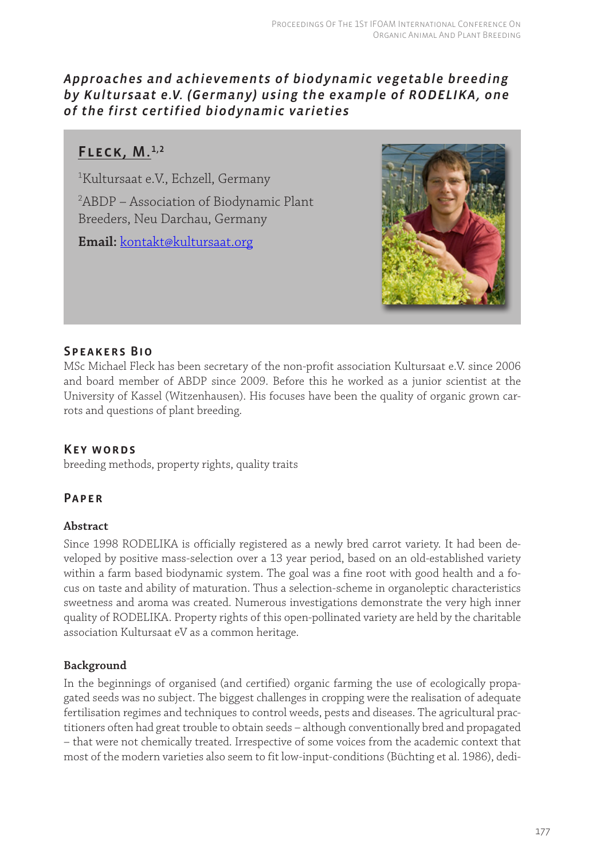## *Approaches and achievements of biodynamic vegetable breeding [by Kultursaat e.V. \(Germany\) using the example of RODELIKA , one](http://www.kultursaat.org/kontakt.html)  of the first certified biodynamic varieties*

# FLECK,  $M.<sup>1,2</sup>$

1 Kultursaat e.V., Echzell, Germany 2 ABDP – Association of Biodynamic Plant Breeders, Neu Darchau, Germany

**Email:** kontakt@kultursaat.org



## Speakers Bio

MSc Michael Fleck has been secretary of the non-profit association Kultursaat e.V. since 2006 and board member of ABDP since 2009. Before this he worked as a junior scientist at the University of Kassel (Witzenhausen). His focuses have been the quality of organic grown carrots and questions of plant breeding.

### Key words

breeding methods, property rights, quality traits

### Paper

### **Abstract**

Since 1998 RODELIKA is officially registered as a newly bred carrot variety. It had been developed by positive mass-selection over a 13 year period, based on an old-established variety within a farm based biodynamic system. The goal was a fine root with good health and a focus on taste and ability of maturation. Thus a selection-scheme in organoleptic characteristics sweetness and aroma was created. Numerous investigations demonstrate the very high inner quality of RODELIKA. Property rights of this open-pollinated variety are held by the charitable association Kultursaat eV as a common heritage.

### **Background**

In the beginnings of organised (and certified) organic farming the use of ecologically propagated seeds was no subject. The biggest challenges in cropping were the realisation of adequate fertilisation regimes and techniques to control weeds, pests and diseases. The agricultural practitioners often had great trouble to obtain seeds – although conventionally bred and propagated [– that were not chemically treated. Irrespective of some voices from the academic context that](http://www.kultursaat.org/verein.html)  most of the modern varieties also seem to fit low-input-conditions (Büchting et al. 1986), dedi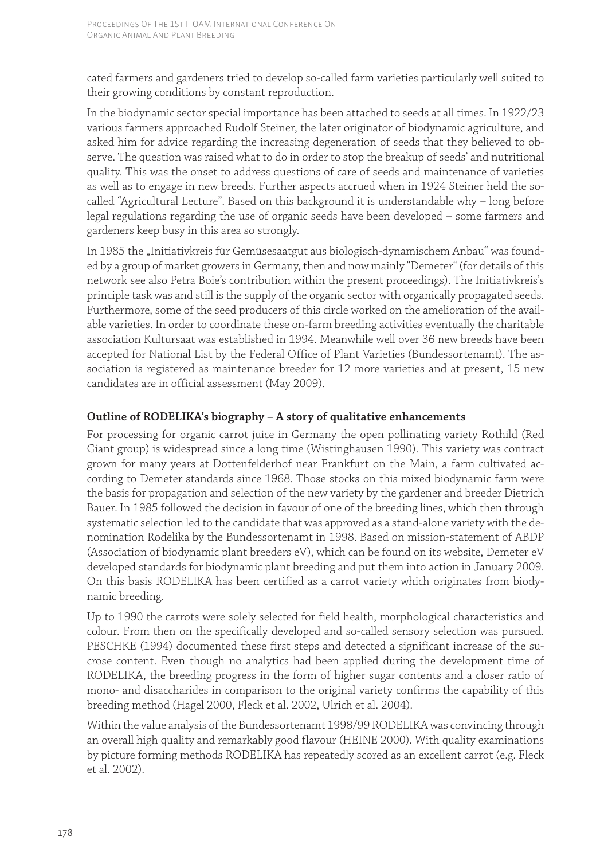cated farmers and gardeners tried to develop so-called farm varieties particularly well suited to their growing conditions by constant reproduction.

In the biodynamic sector special importance has been attached to seeds at all times. In 1922/23 various farmers approached Rudolf Steiner, the later originator of biodynamic agriculture, and asked him for advice regarding the increasing degeneration of seeds that they believed to ob[serve. The question was raised what to do in order to stop the breakup of seeds' and nutritional](http://www.kultursaat.org/verein.html)  quality. This was the onset to address questions of care of seeds and maintenance of varieties as well as to engage in new breeds. Further aspects accrued when in 1924 Steiner held the socalled "Agricultural Lecture". Based on this background it is understandable why – long before legal regulations regarding the use of organic seeds have been developed – some farmers and gardeners keep busy in this area so strongly.

In 1985 the "Initiativkreis für Gemüsesaatgut aus biologisch-dynamischem Anbau" was founded by a group of market growers in Germany, then and now mainly "Demeter" (for details of this network see also Petra Boie's contribution within the present proceedings). The Initiativkreis's principle task was and still is the supply of the organic sector with organically propagated seeds. Furthermore, some of the seed producers of this circle worked on the amelioration of the available varieties. In order to coordinate these on-farm breeding activities eventually the charitable association Kultursaat was established in 1994. Meanwhile well over 36 new breeds have been accepted for National List by the Federal Office of Plant Varieties (Bundessortenamt). The association is registered as maintenance breeder for 12 more varieties and at present, 15 new candidates are in official assessment (May 2009).

### **Outline of RODELIKA's biography – A story of qualitative enhancements**

For processing for organic carrot juice in Germany the open pollinating variety Rothild (Red Giant group) is widespread since a long time (Wistinghausen 1990). This variety was contract grown for many years at Dottenfelderhof near Frankfurt on the Main, a farm cultivated according to Demeter standards since 1968. Those stocks on this mixed biodynamic farm were the basis for propagation and selection of the new variety by the gardener and breeder Dietrich Bauer. In 1985 followed the decision in favour of one of the breeding lines, which then through systematic selection led to the candidate that was approved as a stand-alone variety with the denomination Rodelika by the Bundessortenamt in 1998. Based on mission-statement of ABDP (Association of biodynamic plant breeders eV), which can be found on its website, Demeter eV developed standards for biodynamic plant breeding and put them into action in January 2009. On this basis RODELIKA has been certified as a carrot variety which originates from biodynamic breeding.

Up to 1990 the carrots were solely selected for field health, morphological characteristics and colour. From then on the specifically developed and so-called sensory selection was pursued. PESCHKE (1994) documented these first steps and detected a significant increase of the sucrose content. Even though no analytics had been applied during the development time of RODELIKA, the breeding progress in the form of higher sugar contents and a closer ratio of mono- and disaccharides in comparison to the original variety confirms the capability of this breeding method (Hagel 2000, Fleck et al. 2002, Ulrich et al. 2004).

Within the value analysis of the Bundessortenamt 1998/99 RODELIKA was convincing through an overall high quality and remarkably good flavour (HEINE 2000). With quality examinations by picture forming methods RODELIKA has repeatedly scored as an excellent carrot (e.g. Fleck et al. 2002).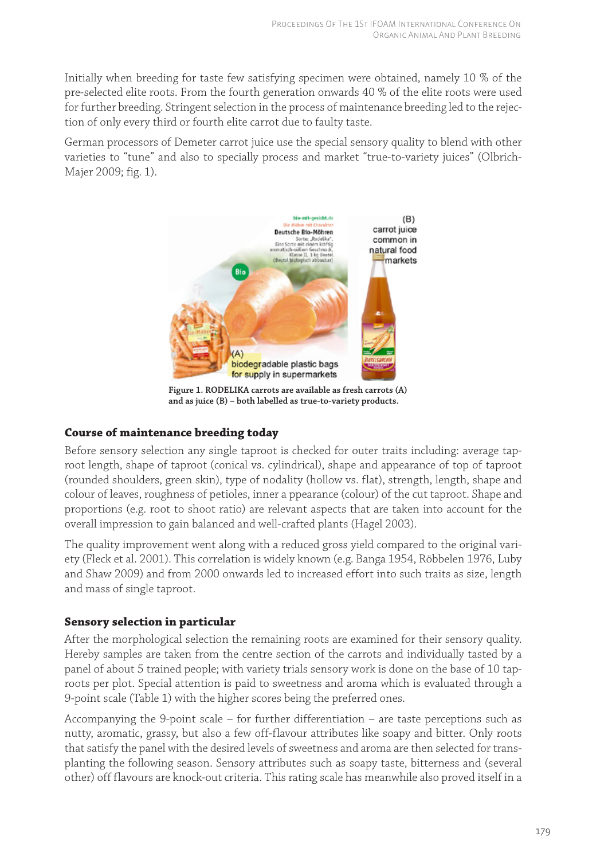Initially when breeding for taste few satisfying specimen were obtained, namely 10 % of the [pre-selected elite roots. From the fourth generation onwards 40 % of the elite roots were used](http://www.kultursaat.org/verein.html)  for further breeding. Stringent selection in the process of maintenance breeding led to the rejection of only every third or fourth elite carrot due to faulty taste.

[German processors of Demeter carrot juice use the special sensory quality to blend with other](http://www.kultursaat.org/kampagne.html)  varieties to "tune" and also to specially process and market "true-to-variety juices" (Olbrich-Majer 2009; fig. 1).



**Figure 1. RODELIKA carrots are available as fresh carrots (A) and as juice (B) – both labelled as true-to-variety products.** 

#### **Course of maintenance breeding today**

Before sensory selection any single taproot is checked for outer traits including: average taproot length, shape of taproot (conical vs. cylindrical), shape and appearance of top of taproot (rounded shoulders, green skin), type of nodality (hollow vs. flat), strength, length, shape and [colour of leaves, roughness of petioles, inner a ppearance \(colour\) of the cut taproot. Shape and](http://www.kultursaat.org/erhaltung.html)  proportions (e.g. root to shoot ratio) are relevant aspects that are taken into account for the overall impression to gain balanced and well-crafted plants (Hagel 2003).

The quality improvement went along with a reduced gross yield compared to the original variety (Fleck et al. 2001). This correlation is widely known (e.g. Banga 1954, Röbbelen 1976, Luby and Shaw 2009) and from 2000 onwards led to increased effort into such traits as size, length and mass of single taproot.

#### **Sensory selection in particular**

After the morphological selection the remaining roots are examined for their sensory quality. Hereby samples are taken from the centre section of the carrots and individually tasted by a panel of about 5 trained people; with variety trials sensory work is done on the base of 10 tap[roots per plot. Special attention is paid to sweetness and aroma which is evaluated through a](http://www.kultursaat.org/entwicklung.html)  9-point scale (Table 1) with the higher scores being the preferred ones.

Accompanying the 9-point scale – for further differentiation – are taste perceptions such as nutty, aromatic, grassy, but also a few off-flavour attributes like soapy and bitter. Only roots that satisfy the panel with the desired levels of sweetness and aroma are then selected for transplanting the following season. Sensory attributes such as soapy taste, bitterness and (several other) off flavours are knock-out criteria. This rating scale has meanwhile also proved itself in a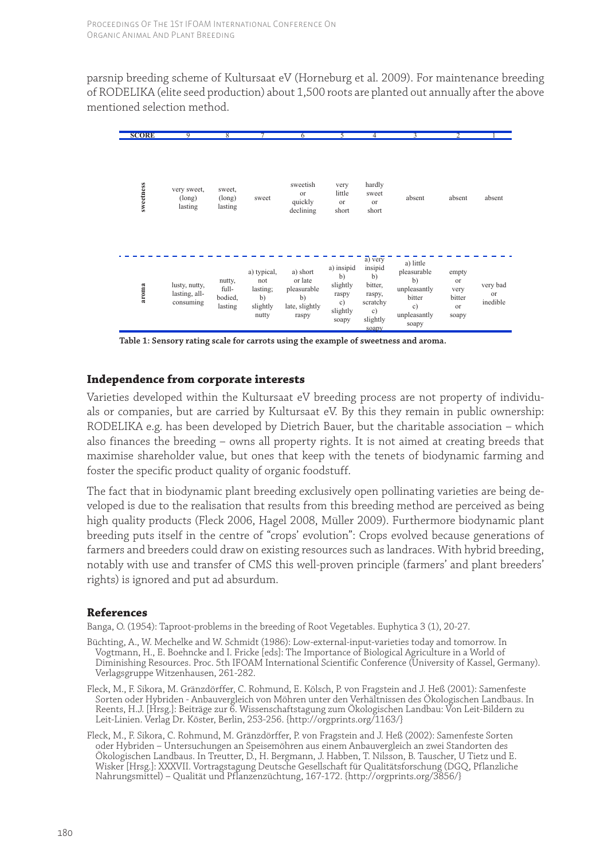[parsnip breeding scheme of Kultursaat eV \(Horneburg et al. 2009\). For maintenance breeding](http://www.kultursaat.org/entwicklung.html)  of RODELIKA (elite seed production) about 1,500 roots are planted out annually after the above mentioned selection method.



**Table 1: Sensory rating scale for carrots using the example of sweetness and aroma.**

#### **Independence from corporate interests**

Varieties developed within the Kultursaat eV breeding process are not property of individu[als or companies, but are carried by Kultursaat eV. By this they remain in public ownership:](http://www.kultursaat.org/ziele.html)  RODELIKA e.g. has been developed by Dietrich Bauer, but the charitable association – which also finances the breeding – owns all property rights. It is not aimed at creating breeds that maximise shareholder value, but ones that keep with the tenets of biodynamic farming and foster the specific product quality of organic foodstuff.

The fact that in biodynamic plant breeding exclusively open pollinating varieties are being developed is due to the realisation that results from this breeding method are perceived as being high quality products (Fleck 2006, Hagel 2008, Müller 2009). Furthermore biodynamic plant breeding puts itself in the centre of "crops' evolution": Crops evolved because generations of farmers and breeders could draw on existing resources such as landraces. With hybrid breeding, notably with use and transfer of CMS this well-proven principle (farmers' and plant breeders' rights) is ignored and put ad absurdum.

#### **References**

Banga, O. (1954): Taproot-problems in the breeding of Root Vegetables. Euphytica 3 (1), 20-27.

- Büchting, A., W. Mechelke and W. Schmidt (1986): Low-external-input-varieties today and tomorrow. In Vogtmann, H., E. Boehncke and I. Fricke [eds]: The Importance of Biological Agriculture in a World of [Diminishing Resources. Proc. 5th IFOAM International Scientific Conference \(University of Kassel, Germany\).](http://www.kultursaat.org/aktuell.html)  Verlagsgruppe Witzenhausen, 261-282.
- Fleck, M., F. Sikora, M. Gränzdörffer, C. Rohmund, E. Kölsch, P. von Fragstein and J. Heß (2001): Samenfeste Sorten oder Hybriden - Anbauvergleich von Möhren unter den Verhältnissen des Ökologischen Landbaus. In Reents, H.J. [Hrsg.]: Beiträge zur 6. Wissenschaftstagung zum Ökologischen Landbau: Von Leit-Bildern zu [Leit-Linien. Verlag Dr. Köster, Berlin, 253-256. {http://orgprints.org/1163/}](http://orgprints.org/1163/)
- [Fleck, M., F. Sikora, C. Rohmund, M. Gränzdörffer, P. von Fragstein and J. Heß \(2002\): Samenfeste Sorten](http://www.kultursaat.org/aktuell.html)  oder Hybriden – Untersuchungen an Speisemöhren aus einem Anbauvergleich an zwei Standorten des Ökologischen Landbaus. In Treutter, D., H. Bergmann, J. Habben, T. Nilsson, B. Tauscher, U Tietz und E. Wisker [Hrsg.]: XXXVII. Vortragstagung Deutsche Gesellschaft für Qualitätsforschung (DGQ, Pflanzliche [Nahrungsmittel\) – Qualität und Pflanzenzüchtung, 167-172. {http://orgprints.org/3856/}](http://orgprints.org/3856/)